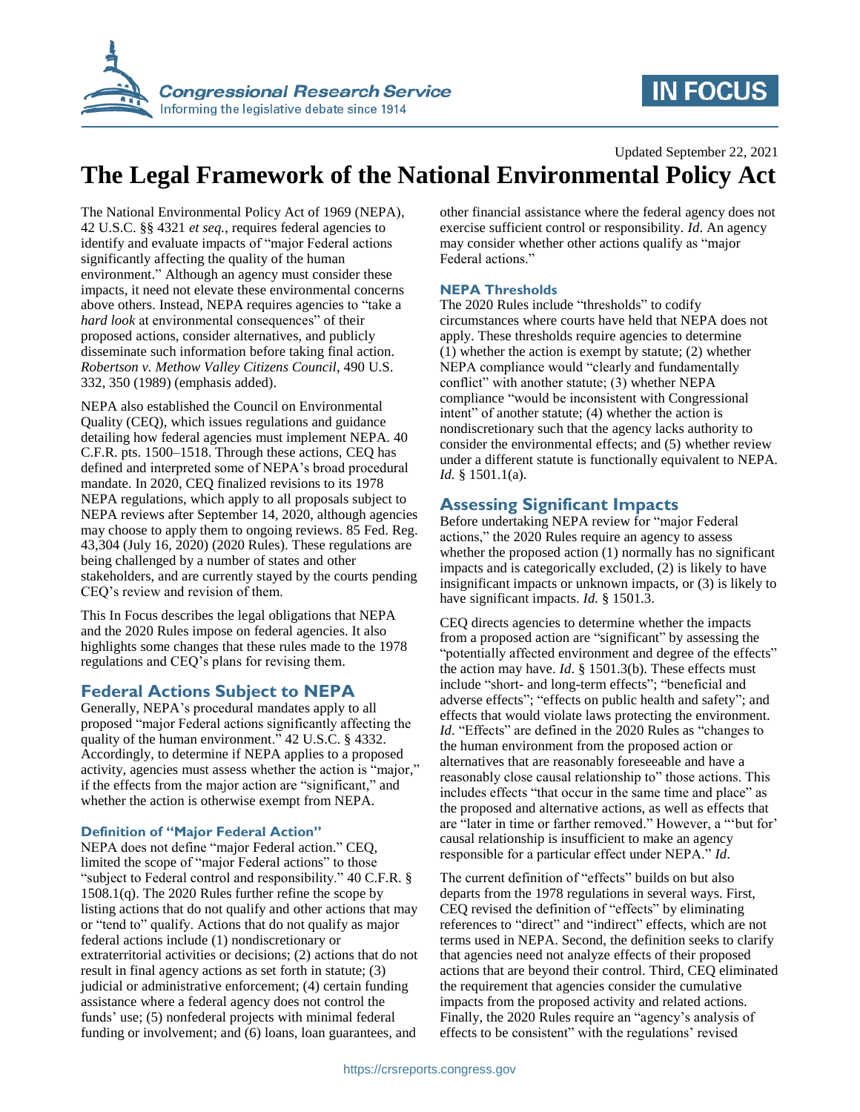

# **IN FOCUS**

#### Updated September 22, 2021

## **The Legal Framework of the National Environmental Policy Act**

The National Environmental Policy Act of 1969 (NEPA), 42 U.S.C. §§ 4321 *et seq.*, requires federal agencies to identify and evaluate impacts of "major Federal actions significantly affecting the quality of the human environment." Although an agency must consider these impacts, it need not elevate these environmental concerns above others. Instead, NEPA requires agencies to "take a *hard look* at environmental consequences" of their proposed actions, consider alternatives, and publicly disseminate such information before taking final action. *Robertson v. Methow Valley Citizens Council*, 490 U.S. 332, 350 (1989) (emphasis added).

NEPA also established the Council on Environmental Quality (CEQ), which issues regulations and guidance detailing how federal agencies must implement NEPA. 40 C.F.R. pts. 1500–1518. Through these actions, CEQ has defined and interpreted some of NEPA's broad procedural mandate. In 2020, CEQ finalized revisions to its 1978 NEPA regulations, which apply to all proposals subject to NEPA reviews after September 14, 2020, although agencies may choose to apply them to ongoing reviews. 85 Fed. Reg. 43,304 (July 16, 2020) (2020 Rules). These regulations are being challenged by a number of states and other stakeholders, and are currently stayed by the courts pending CEQ's review and revision of them.

This In Focus describes the legal obligations that NEPA and the 2020 Rules impose on federal agencies. It also highlights some changes that these rules made to the 1978 regulations and CEQ's plans for revising them.

### **Federal Actions Subject to NEPA**

Generally, NEPA's procedural mandates apply to all proposed "major Federal actions significantly affecting the quality of the human environment." 42 U.S.C. § 4332. Accordingly, to determine if NEPA applies to a proposed activity, agencies must assess whether the action is "major," if the effects from the major action are "significant," and whether the action is otherwise exempt from NEPA.

#### **Definition of "Major Federal Action"**

NEPA does not define "major Federal action." CEQ, limited the scope of "major Federal actions" to those "subject to Federal control and responsibility." 40 C.F.R. § 1508.1(q). The 2020 Rules further refine the scope by listing actions that do not qualify and other actions that may or "tend to" qualify. Actions that do not qualify as major federal actions include (1) nondiscretionary or extraterritorial activities or decisions; (2) actions that do not result in final agency actions as set forth in statute; (3) judicial or administrative enforcement; (4) certain funding assistance where a federal agency does not control the funds' use; (5) nonfederal projects with minimal federal funding or involvement; and (6) loans, loan guarantees, and

other financial assistance where the federal agency does not exercise sufficient control or responsibility. *Id*. An agency may consider whether other actions qualify as "major Federal actions."

#### **NEPA Thresholds**

The 2020 Rules include "thresholds" to codify circumstances where courts have held that NEPA does not apply. These thresholds require agencies to determine (1) whether the action is exempt by statute; (2) whether NEPA compliance would "clearly and fundamentally conflict" with another statute; (3) whether NEPA compliance "would be inconsistent with Congressional intent" of another statute; (4) whether the action is nondiscretionary such that the agency lacks authority to consider the environmental effects; and (5) whether review under a different statute is functionally equivalent to NEPA. *Id.* § 1501.1(a).

### **Assessing Significant Impacts**

Before undertaking NEPA review for "major Federal actions," the 2020 Rules require an agency to assess whether the proposed action (1) normally has no significant impacts and is categorically excluded, (2) is likely to have insignificant impacts or unknown impacts, or (3) is likely to have significant impacts. *Id.* § 1501.3.

CEQ directs agencies to determine whether the impacts from a proposed action are "significant" by assessing the "potentially affected environment and degree of the effects" the action may have. *Id*. § 1501.3(b). These effects must include "short- and long-term effects"; "beneficial and adverse effects"; "effects on public health and safety"; and effects that would violate laws protecting the environment. *Id.* "Effects" are defined in the 2020 Rules as "changes to the human environment from the proposed action or alternatives that are reasonably foreseeable and have a reasonably close causal relationship to" those actions. This includes effects "that occur in the same time and place" as the proposed and alternative actions, as well as effects that are "later in time or farther removed." However, a "'but for' causal relationship is insufficient to make an agency responsible for a particular effect under NEPA." *Id*.

The current definition of "effects" builds on but also departs from the 1978 regulations in several ways. First, CEQ revised the definition of "effects" by eliminating references to "direct" and "indirect" effects, which are not terms used in NEPA. Second, the definition seeks to clarify that agencies need not analyze effects of their proposed actions that are beyond their control. Third, CEQ eliminated the requirement that agencies consider the cumulative impacts from the proposed activity and related actions. Finally, the 2020 Rules require an "agency's analysis of effects to be consistent" with the regulations' revised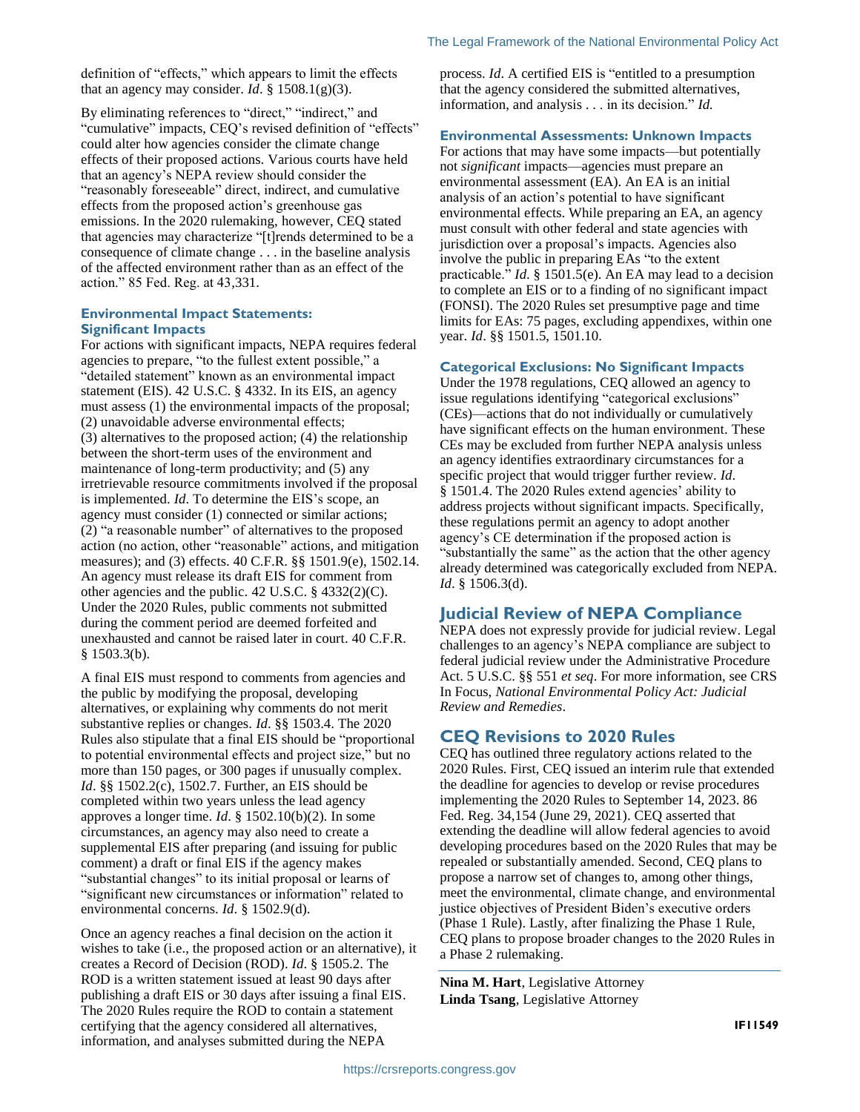definition of "effects," which appears to limit the effects that an agency may consider. *Id.*  $\S$  1508.1(g)(3).

By eliminating references to "direct," "indirect," and "cumulative" impacts, CEQ's revised definition of "effects" could alter how agencies consider the climate change effects of their proposed actions. Various courts have held that an agency's NEPA review should consider the "reasonably foreseeable" direct, indirect, and cumulative effects from the proposed action's greenhouse gas emissions. In the 2020 rulemaking, however, CEQ stated that agencies may characterize "[t]rends determined to be a consequence of climate change . . . in the baseline analysis of the affected environment rather than as an effect of the action." 85 Fed. Reg. at 43,331.

#### **Environmental Impact Statements: Significant Impacts**

For actions with significant impacts, NEPA requires federal agencies to prepare, "to the fullest extent possible," a "detailed statement" known as an environmental impact statement (EIS). 42 U.S.C. § 4332. In its EIS, an agency must assess (1) the environmental impacts of the proposal; (2) unavoidable adverse environmental effects; (3) alternatives to the proposed action; (4) the relationship between the short-term uses of the environment and maintenance of long-term productivity; and (5) any irretrievable resource commitments involved if the proposal is implemented. *Id*. To determine the EIS's scope, an agency must consider (1) connected or similar actions; (2) "a reasonable number" of alternatives to the proposed action (no action, other "reasonable" actions, and mitigation measures); and (3) effects. 40 C.F.R. §§ 1501.9(e), 1502.14. An agency must release its draft EIS for comment from other agencies and the public. 42 U.S.C. § 4332(2)(C). Under the 2020 Rules, public comments not submitted during the comment period are deemed forfeited and unexhausted and cannot be raised later in court. 40 C.F.R.  $§$  1503.3(b).

A final EIS must respond to comments from agencies and the public by modifying the proposal, developing alternatives, or explaining why comments do not merit substantive replies or changes. *Id*. §§ 1503.4. The 2020 Rules also stipulate that a final EIS should be "proportional to potential environmental effects and project size," but no more than 150 pages, or 300 pages if unusually complex. *Id*. §§ 1502.2(c), 1502.7. Further, an EIS should be completed within two years unless the lead agency approves a longer time. *Id*. § 1502.10(b)(2). In some circumstances, an agency may also need to create a supplemental EIS after preparing (and issuing for public comment) a draft or final EIS if the agency makes "substantial changes" to its initial proposal or learns of "significant new circumstances or information" related to environmental concerns. *Id*. § 1502.9(d).

Once an agency reaches a final decision on the action it wishes to take (i.e., the proposed action or an alternative), it creates a Record of Decision (ROD). *Id*. § 1505.2. The ROD is a written statement issued at least 90 days after publishing a draft EIS or 30 days after issuing a final EIS. The 2020 Rules require the ROD to contain a statement certifying that the agency considered all alternatives, information, and analyses submitted during the NEPA

process. *Id*. A certified EIS is "entitled to a presumption that the agency considered the submitted alternatives, information, and analysis . . . in its decision." *Id.*

#### **Environmental Assessments: Unknown Impacts**

For actions that may have some impacts—but potentially not *significant* impacts—agencies must prepare an environmental assessment (EA). An EA is an initial analysis of an action's potential to have significant environmental effects. While preparing an EA, an agency must consult with other federal and state agencies with jurisdiction over a proposal's impacts. Agencies also involve the public in preparing EAs "to the extent practicable." *Id*. § 1501.5(e). An EA may lead to a decision to complete an EIS or to a finding of no significant impact (FONSI). The 2020 Rules set presumptive page and time limits for EAs: 75 pages, excluding appendixes, within one year. *Id*. §§ 1501.5, 1501.10.

#### **Categorical Exclusions: No Significant Impacts**

Under the 1978 regulations, CEQ allowed an agency to issue regulations identifying "categorical exclusions" (CEs)—actions that do not individually or cumulatively have significant effects on the human environment. These CEs may be excluded from further NEPA analysis unless an agency identifies extraordinary circumstances for a specific project that would trigger further review. *Id*. § 1501.4. The 2020 Rules extend agencies' ability to address projects without significant impacts. Specifically, these regulations permit an agency to adopt another agency's CE determination if the proposed action is "substantially the same" as the action that the other agency already determined was categorically excluded from NEPA. *Id*. § 1506.3(d).

## **Judicial Review of NEPA Compliance**

NEPA does not expressly provide for judicial review. Legal challenges to an agency's NEPA compliance are subject to federal judicial review under the Administrative Procedure Act. 5 U.S.C. §§ 551 *et seq*. For more information, see CRS In Focus, *National Environmental Policy Act: Judicial Review and Remedies*.

## **CEQ Revisions to 2020 Rules**

CEQ has outlined three regulatory actions related to the 2020 Rules. First, CEQ issued an interim rule that extended the deadline for agencies to develop or revise procedures implementing the 2020 Rules to September 14, 2023. 86 Fed. Reg. 34,154 (June 29, 2021). CEQ asserted that extending the deadline will allow federal agencies to avoid developing procedures based on the 2020 Rules that may be repealed or substantially amended. Second, CEQ plans to propose a narrow set of changes to, among other things, meet the environmental, climate change, and environmental justice objectives of President Biden's executive orders (Phase 1 Rule). Lastly, after finalizing the Phase 1 Rule, CEQ plans to propose broader changes to the 2020 Rules in a Phase 2 rulemaking.

**Nina M. Hart**, Legislative Attorney **Linda Tsang**, Legislative Attorney